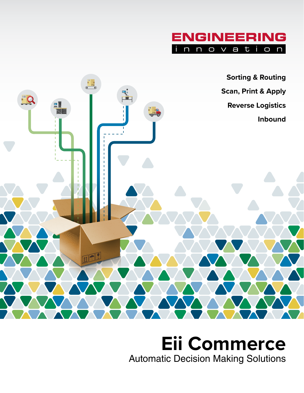



## **Eii Commerce** Automatic Decision Making Solutions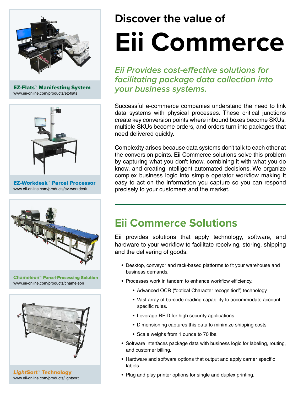

EZ-Flats™ Manifesting System www.eii-online.com/products/ez-flats



EZ-Workdesk™ Parcel Processor www.eii-online.com/products/ez-workdesk



Chameleon™ Parcel-Processing Solution www.eii-online.com/products/chameleon



LightSort™ Technology www.eii-online.com/products/lightsort

# **Discover the value of Eii Commerce**

**Eii Provides cost-effective solutions for facilitating package data collection into your business systems.**

Successful e-commerce companies understand the need to link data systems with physical processes. These critical junctions create key conversion points where inbound boxes become SKUs, multiple SKUs become orders, and orders turn into packages that need delivered quickly.

Complexity arises because data systems don't talk to each other at the conversion points. Eii Commerce solutions solve this problem by capturing what you don't know, combining it with what you do know, and creating intelligent automated decisions. We organize complex business logic into simple operator workflow making it easy to act on the information you capture so you can respond precisely to your customers and the market.

### **Eii Commerce Solutions**

Eii provides solutions that apply technology, software, and hardware to your workflow to facilitate receiving, storing, shipping and the delivering of goods.

- Desktop, conveyor and rack-based platforms to fit your warehouse and business demands.
- Processes work in tandem to enhance workflow efficiency.
	- Advanced OCR ("optical Character recognition") technology
	- Vast array of barcode reading capability to accommodate account specific rules.
	- Leverage RFID for high security applications
	- Dimensioning captures this data to minimize shipping costs
	- Scale weighs from 1 ounce to 70 lbs.
- Software interfaces package data with business logic for labeling, routing, and customer billing.
- Hardware and software options that output and apply carrier specific labels.
- Plug and play printer options for single and duplex printing.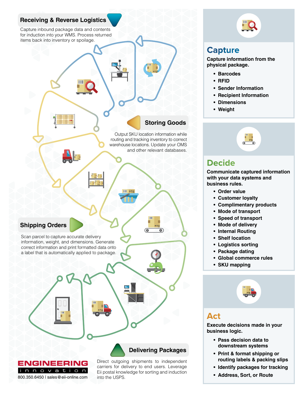#### **Receiving & Reverse Logistics**

Capture inbound package data and contents for induction into your WMS. Process returned items back into inventory or spoilage.

#### **Storing Goods**

Output SKU location information while routing and tracking inventory to correct warehouse locations. Update your OMS and other relevant databases.

#### **Shipping Orders**

Scan parcel to capture accurate delivery information, weight, and dimensions. Generate correct information and print formatted data onto a label that is automatically applied to package.



**Delivering Packages**

Direct outgoing shipments to independent carriers for delivery to end users. Leverage Eii postal knowledge for sorting and induction into the USPS.



#### **Capture**

**Capture information from the physical package.** 

- **• Barcodes**
- **• RFID**
- **• Sender Information**
- **• Recipient Information**
- **• Dimensions**
- **• Weight**



#### **Decide**

**Communicate captured information with your data systems and business rules.**

- **• Order value**
- **• Customer loyalty**
- **• Complimentary products**
- **• Mode of transport**
- **• Speed of transport**
- **• Mode of delivery**
- **• Internal Routing**
- **• Shelf location**
- **• Logistics sorting**
- **• Package dating**
- **• Global commerce rules**
- **• SKU mapping**



#### **Act**

**Execute decisions made in your business logic.** 

- **• Pass decision data to downstream systems**
- **• Print & format shipping or routing labels & packing slips**
- **• Identify packages for tracking**
- **• Address, Sort, or Route**